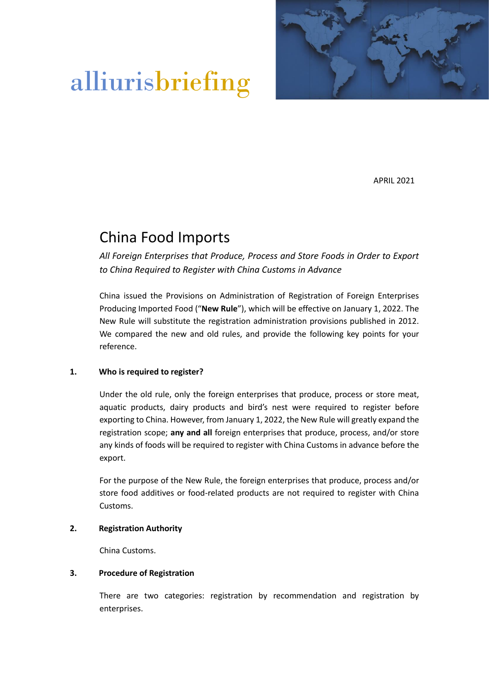

# alliurisbriefing

APRIL 2021

# China Food Imports

*All Foreign Enterprises that Produce, Process and Store Foods in Order to Export to China Required to Register with China Customs in Advance*

China issued the Provisions on Administration of Registration of Foreign Enterprises Producing Imported Food ("**New Rule**"), which will be effective on January 1, 2022. The New Rule will substitute the registration administration provisions published in 2012. We compared the new and old rules, and provide the following key points for your reference.

#### **1. Who is required to register?**

Under the old rule, only the foreign enterprises that produce, process or store meat, aquatic products, dairy products and bird's nest were required to register before exporting to China. However, from January 1, 2022, the New Rule will greatly expand the registration scope; **any and all** foreign enterprises that produce, process, and/or store any kinds of foods will be required to register with China Customs in advance before the export.

For the purpose of the New Rule, the foreign enterprises that produce, process and/or store food additives or food-related products are not required to register with China Customs.

#### **2. Registration Authority**

China Customs.

#### **3. Procedure of Registration**

There are two categories: registration by recommendation and registration by enterprises.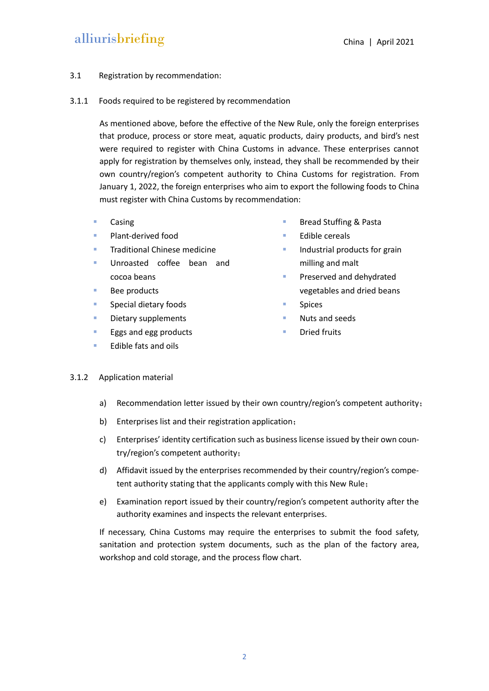## alliurisbriefing China | April 2021

#### 3.1 Registration by recommendation:

#### 3.1.1 Foods required to be registered by recommendation

As mentioned above, before the effective of the New Rule, only the foreign enterprises that produce, process or store meat, aquatic products, dairy products, and bird's nest were required to register with China Customs in advance. These enterprises cannot apply for registration by themselves only, instead, they shall be recommended by their own country/region's competent authority to China Customs for registration. From January 1, 2022, the foreign enterprises who aim to export the following foods to China must register with China Customs by recommendation:

- **Casing**
- Plant-derived food
- **Traditional Chinese medicine**
- Unroasted coffee bean and cocoa beans
- Bee products
- Special dietary foods
- Dietary supplements
- Eggs and egg products
- **Edible fats and oils**
- Bread Stuffing & Pasta
- Edible cereals
- Industrial products for grain milling and malt
- **Preserved and dehydrated** vegetables and dried beans
- **Spices**
- Nuts and seeds
- Dried fruits

#### 3.1.2 Application material

- a) Recommendation letter issued by their own country/region's competent authority;
- b) Enterprises list and their registration application;
- c) Enterprises' identity certification such as business license issued by their own country/region's competent authority;
- d) Affidavit issued by the enterprises recommended by their country/region's competent authority stating that the applicants comply with this New Rule;
- e) Examination report issued by their country/region's competent authority after the authority examines and inspects the relevant enterprises.

If necessary, China Customs may require the enterprises to submit the food safety, sanitation and protection system documents, such as the plan of the factory area, workshop and cold storage, and the process flow chart.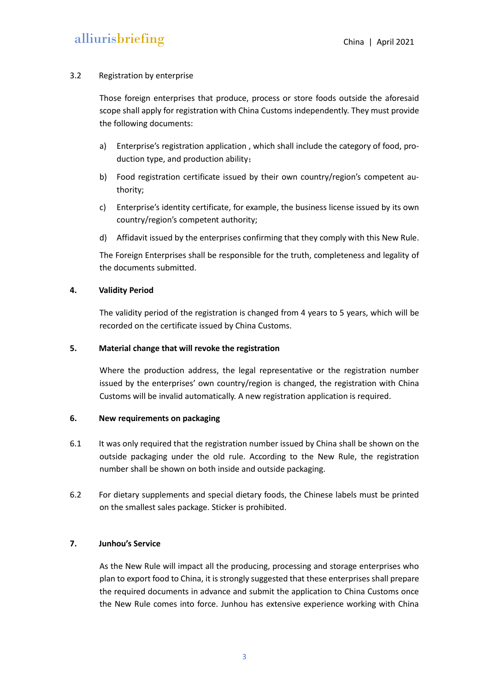#### 3.2 Registration by enterprise

Those foreign enterprises that produce, process or store foods outside the aforesaid scope shall apply for registration with China Customs independently. They must provide the following documents:

- a) Enterprise's registration application , which shall include the category of food, production type, and production ability;
- b) Food registration certificate issued by their own country/region's competent authority;
- c) Enterprise's identity certificate, for example, the business license issued by its own country/region's competent authority;
- d) Affidavit issued by the enterprises confirming that they comply with this New Rule.

The Foreign Enterprises shall be responsible for the truth, completeness and legality of the documents submitted.

#### **4. Validity Period**

The validity period of the registration is changed from 4 years to 5 years, which will be recorded on the certificate issued by China Customs.

#### **5. Material change that will revoke the registration**

Where the production address, the legal representative or the registration number issued by the enterprises' own country/region is changed, the registration with China Customs will be invalid automatically. A new registration application is required.

#### **6. New requirements on packaging**

- 6.1 It was only required that the registration number issued by China shall be shown on the outside packaging under the old rule. According to the New Rule, the registration number shall be shown on both inside and outside packaging.
- 6.2 For dietary supplements and special dietary foods, the Chinese labels must be printed on the smallest sales package. Sticker is prohibited.

#### **7. Junhou's Service**

As the New Rule will impact all the producing, processing and storage enterprises who plan to export food to China, it is strongly suggested that these enterprises shall prepare the required documents in advance and submit the application to China Customs once the New Rule comes into force. Junhou has extensive experience working with China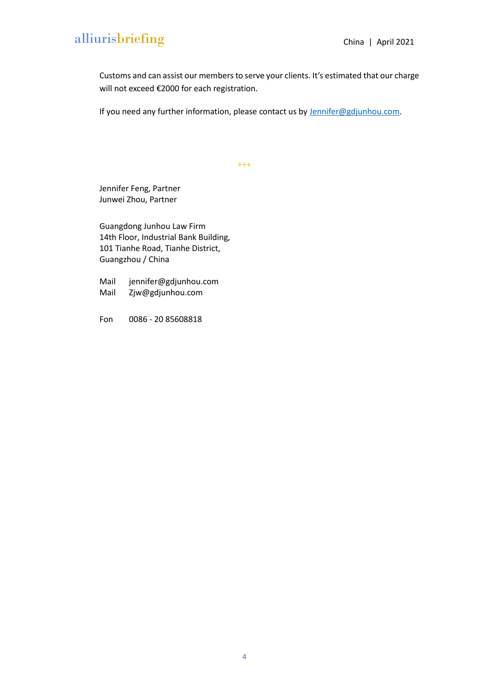# alliurisbriefing China | April 2021

Customs and can assist our members to serve your clients. It's estimated that our charge will not exceed €2000 for each registration.

If you need any further information, please contact us by **Jennifer@gdjunhou.com**.

+++

Jennifer Feng, Partner Junwei Zhou, Partner

Guangdong Junhou Law Firm 14th Floor, Industrial Bank Building, 101 Tianhe Road, Tianhe District, Guangzhou / China

Mail [jennifer@gdjunhou.com](mailto:jennifer@gdjunhou.com) Mail Zjw@gdjunhou.com

Fon 0086 - 20 85608818